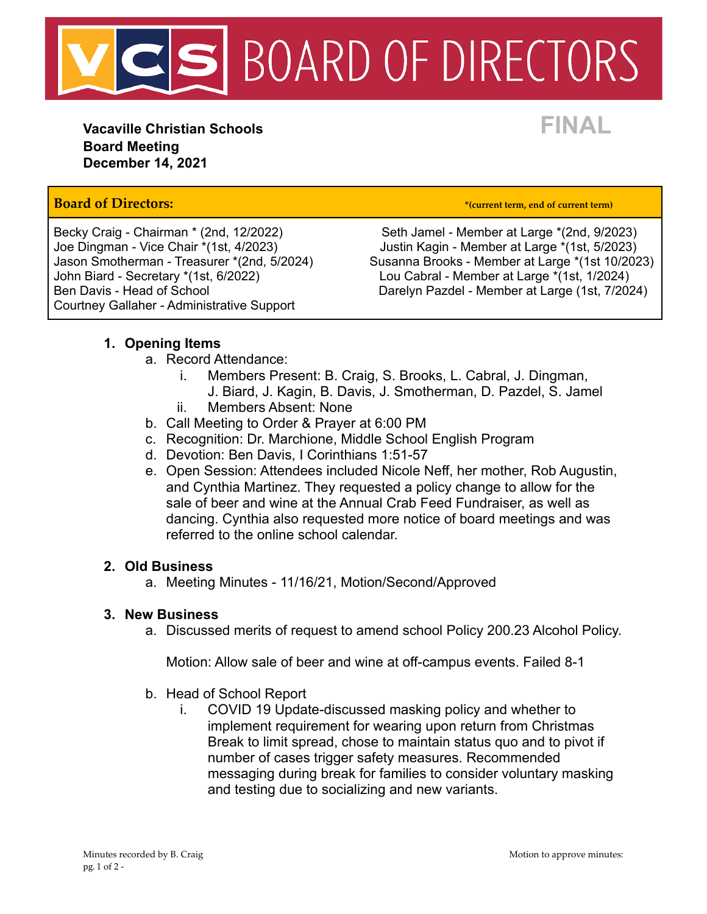

**Vacaville Christian Schools FINAL Board Meeting December 14, 2021**

## **Board of Directors: \*(current term, end of current term)**

John Biard - Secretary \*(1st, 6/2022) Lou Cabral - Member at Large \*(1st, 1/2024) Courtney Gallaher - Administrative Support

Becky Craig - Chairman \* (2nd, 12/2022) Seth Jamel - Member at Large \* (2nd, 9/2023) Joe Dingman - Vice Chair \*(1st, 4/2023) Justin Kagin - Member at Large \*(1st, 5/2023) Susanna Brooks - Member at Large \*(1st 10/2023) Ben Davis - Head of School **Darelyn Pazdel - Member at Large (1st, 7/2024)** 

### **1. Opening Items**

- a. Record Attendance:
	- i. Members Present: B. Craig, S. Brooks, L. Cabral, J. Dingman, J. Biard, J. Kagin, B. Davis, J. Smotherman, D. Pazdel, S. Jamel
	- ii. Members Absent: None
- b. Call Meeting to Order & Prayer at 6:00 PM
- c. Recognition: Dr. Marchione, Middle School English Program
- d. Devotion: Ben Davis, I Corinthians 1:51-57
- e. Open Session: Attendees included Nicole Neff, her mother, Rob Augustin, and Cynthia Martinez. They requested a policy change to allow for the sale of beer and wine at the Annual Crab Feed Fundraiser, as well as dancing. Cynthia also requested more notice of board meetings and was referred to the online school calendar.

#### **2. Old Business**

a. Meeting Minutes - 11/16/21, Motion/Second/Approved

#### **3. New Business**

a. Discussed merits of request to amend school Policy 200.23 Alcohol Policy.

Motion: Allow sale of beer and wine at off-campus events. Failed 8-1

- b. Head of School Report
	- i. COVID 19 Update-discussed masking policy and whether to implement requirement for wearing upon return from Christmas Break to limit spread, chose to maintain status quo and to pivot if number of cases trigger safety measures. Recommended messaging during break for families to consider voluntary masking and testing due to socializing and new variants.